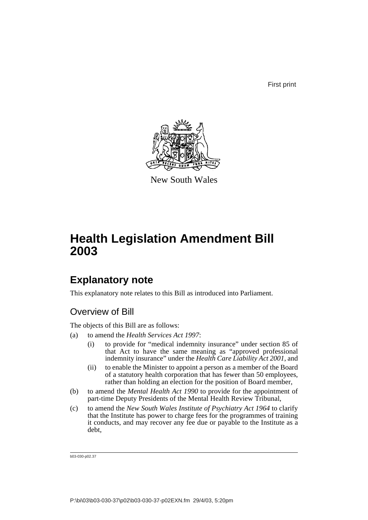First print



New South Wales

# **Health Legislation Amendment Bill 2003**

## **Explanatory note**

This explanatory note relates to this Bill as introduced into Parliament.

### Overview of Bill

The objects of this Bill are as follows:

- (a) to amend the *Health Services Act 1997*:
	- (i) to provide for "medical indemnity insurance" under section 85 of that Act to have the same meaning as "approved professional indemnity insurance" under the *Health Care Liability Act 2001*, and
	- (ii) to enable the Minister to appoint a person as a member of the Board of a statutory health corporation that has fewer than 50 employees, rather than holding an election for the position of Board member,
- (b) to amend the *Mental Health Act 1990* to provide for the appointment of part-time Deputy Presidents of the Mental Health Review Tribunal,
- (c) to amend the *New South Wales Institute of Psychiatry Act 1964* to clarify that the Institute has power to charge fees for the programmes of training it conducts, and may recover any fee due or payable to the Institute as a debt,

b03-030-p02.37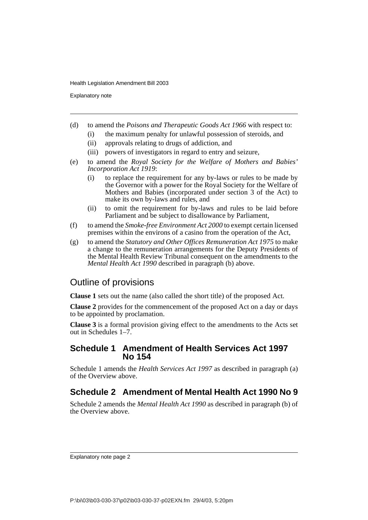Explanatory note

- (d) to amend the *Poisons and Therapeutic Goods Act 1966* with respect to:
	- (i) the maximum penalty for unlawful possession of steroids, and
	- (ii) approvals relating to drugs of addiction, and
	- (iii) powers of investigators in regard to entry and seizure,
- (e) to amend the *Royal Society for the Welfare of Mothers and Babies' Incorporation Act 1919*:
	- (i) to replace the requirement for any by-laws or rules to be made by the Governor with a power for the Royal Society for the Welfare of Mothers and Babies (incorporated under section 3 of the Act) to make its own by-laws and rules, and
	- (ii) to omit the requirement for by-laws and rules to be laid before Parliament and be subject to disallowance by Parliament,
- (f) to amend the *Smoke-free Environment Act 2000* to exempt certain licensed premises within the environs of a casino from the operation of the Act,
- (g) to amend the *Statutory and Other Offices Remuneration Act 1975* to make a change to the remuneration arrangements for the Deputy Presidents of the Mental Health Review Tribunal consequent on the amendments to the *Mental Health Act 1990* described in paragraph (b) above.

### Outline of provisions

**Clause 1** sets out the name (also called the short title) of the proposed Act.

**Clause 2** provides for the commencement of the proposed Act on a day or days to be appointed by proclamation.

**Clause 3** is a formal provision giving effect to the amendments to the Acts set out in Schedules 1–7.

#### **Schedule 1 Amendment of Health Services Act 1997 No 154**

Schedule 1 amends the *Health Services Act 1997* as described in paragraph (a) of the Overview above.

#### **Schedule 2 Amendment of Mental Health Act 1990 No 9**

Schedule 2 amends the *Mental Health Act 1990* as described in paragraph (b) of the Overview above.

Explanatory note page 2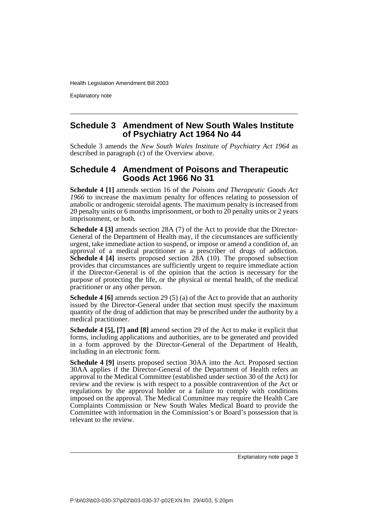Explanatory note

#### **Schedule 3 Amendment of New South Wales Institute of Psychiatry Act 1964 No 44**

Schedule 3 amends the *New South Wales Institute of Psychiatry Act 1964* as described in paragraph (c) of the Overview above.

#### **Schedule 4 Amendment of Poisons and Therapeutic Goods Act 1966 No 31**

**Schedule 4 [1]** amends section 16 of the *Poisons and Therapeutic Goods Act 1966* to increase the maximum penalty for offences relating to possession of anabolic or androgenic steroidal agents. The maximum penalty is increased from 20 penalty units or 6 months imprisonment, or both to 20 penalty units or 2 years imprisonment, or both.

**Schedule 4 [3]** amends section 28A (7) of the Act to provide that the Director-General of the Department of Health may, if the circumstances are sufficiently urgent, take immediate action to suspend, or impose or amend a condition of, an approval of a medical practitioner as a prescriber of drugs of addiction. **Schedule 4 [4]** inserts proposed section 28A (10). The proposed subsection provides that circumstances are sufficiently urgent to require immediate action if the Director-General is of the opinion that the action is necessary for the purpose of protecting the life, or the physical or mental health, of the medical practitioner or any other person.

**Schedule 4 [6]** amends section 29 (5) (a) of the Act to provide that an authority issued by the Director-General under that section must specify the maximum quantity of the drug of addiction that may be prescribed under the authority by a medical practitioner.

**Schedule 4 [5], [7] and [8]** amend section 29 of the Act to make it explicit that forms, including applications and authorities, are to be generated and provided in a form approved by the Director-General of the Department of Health, including in an electronic form.

**Schedule 4 [9]** inserts proposed section 30AA into the Act. Proposed section 30AA applies if the Director-General of the Department of Health refers an approval to the Medical Committee (established under section 30 of the Act) for review and the review is with respect to a possible contravention of the Act or regulations by the approval holder or a failure to comply with conditions imposed on the approval. The Medical Committee may require the Health Care Complaints Commission or New South Wales Medical Board to provide the Committee with information in the Commission's or Board's possession that is relevant to the review.

Explanatory note page 3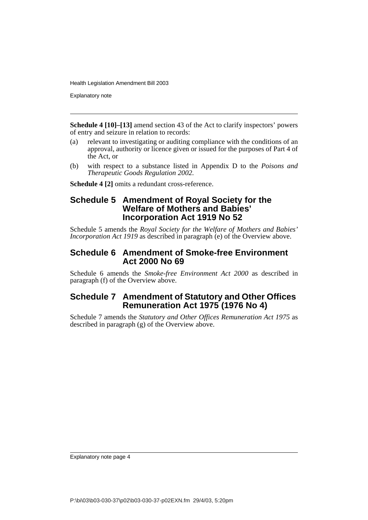Explanatory note

**Schedule 4 [10]–[13]** amend section 43 of the Act to clarify inspectors' powers of entry and seizure in relation to records:

- (a) relevant to investigating or auditing compliance with the conditions of an approval, authority or licence given or issued for the purposes of Part 4 of the Act, or
- (b) with respect to a substance listed in Appendix D to the *Poisons and Therapeutic Goods Regulation 2002*.

**Schedule 4 [2]** omits a redundant cross-reference.

#### **Schedule 5 Amendment of Royal Society for the Welfare of Mothers and Babies' Incorporation Act 1919 No 52**

Schedule 5 amends the *Royal Society for the Welfare of Mothers and Babies' Incorporation Act 1919* as described in paragraph (e) of the Overview above.

#### **Schedule 6 Amendment of Smoke-free Environment Act 2000 No 69**

Schedule 6 amends the *Smoke-free Environment Act 2000* as described in paragraph (f) of the Overview above.

#### **Schedule 7 Amendment of Statutory and Other Offices Remuneration Act 1975 (1976 No 4)**

Schedule 7 amends the *Statutory and Other Offices Remuneration Act 1975* as described in paragraph (g) of the Overview above.

Explanatory note page 4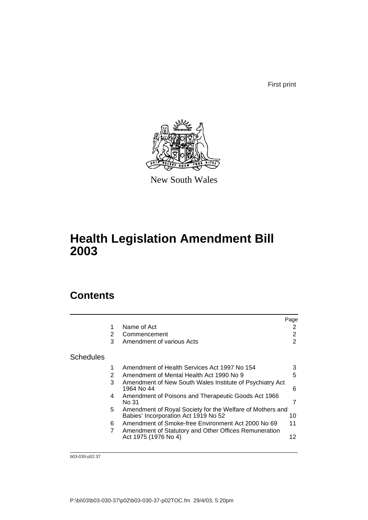First print



New South Wales

# **Health Legislation Amendment Bill 2003**

## **Contents**

|                  |    |                                                                                                   | Page |
|------------------|----|---------------------------------------------------------------------------------------------------|------|
|                  | 1  | Name of Act                                                                                       | 2    |
|                  | 2  | Commencement                                                                                      | 2    |
|                  | 3  | Amendment of various Acts                                                                         | 2    |
| <b>Schedules</b> |    |                                                                                                   |      |
|                  |    | Amendment of Health Services Act 1997 No 154                                                      | 3    |
|                  | 2  | Amendment of Mental Health Act 1990 No 9                                                          | 5    |
|                  | 3  | Amendment of New South Wales Institute of Psychiatry Act<br>1964 No 44                            | 6    |
|                  | 4  | Amendment of Poisons and Therapeutic Goods Act 1966<br>No 31                                      | 7    |
|                  | 5. | Amendment of Royal Society for the Welfare of Mothers and<br>Babies' Incorporation Act 1919 No 52 | 10   |
|                  | 6  | Amendment of Smoke-free Environment Act 2000 No 69                                                | 11   |
|                  | 7  | Amendment of Statutory and Other Offices Remuneration                                             |      |
|                  |    | Act 1975 (1976 No 4)                                                                              | 12   |
|                  |    |                                                                                                   |      |

b03-030-p02.37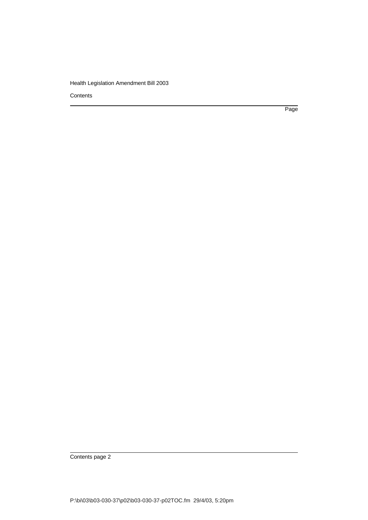**Contents** 

Page

Contents page 2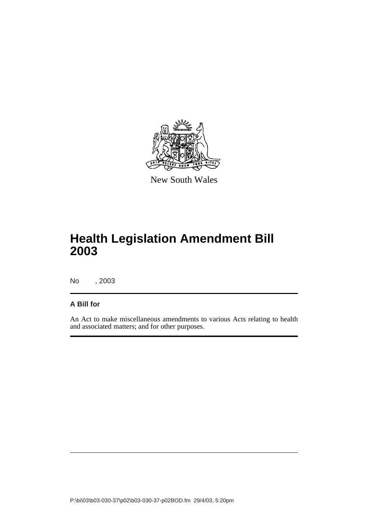

New South Wales

# **Health Legislation Amendment Bill 2003**

No , 2003

#### **A Bill for**

An Act to make miscellaneous amendments to various Acts relating to health and associated matters; and for other purposes.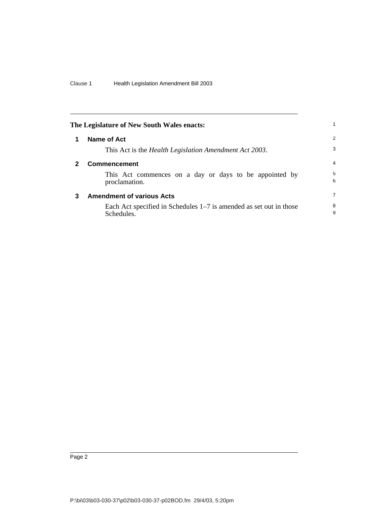<span id="page-7-2"></span><span id="page-7-1"></span><span id="page-7-0"></span>

| The Legislature of New South Wales enacts: |                                                                                  |                |
|--------------------------------------------|----------------------------------------------------------------------------------|----------------|
|                                            | Name of Act                                                                      | 2              |
|                                            | This Act is the Health Legislation Amendment Act 2003.                           | 3              |
| 2                                          | <b>Commencement</b>                                                              | $\overline{4}$ |
|                                            | This Act commences on a day or days to be appointed by<br>proclamation.          | 5<br>6         |
| 3                                          | <b>Amendment of various Acts</b>                                                 | $\overline{7}$ |
|                                            | Each Act specified in Schedules 1–7 is amended as set out in those<br>Schedules. | 8<br>9         |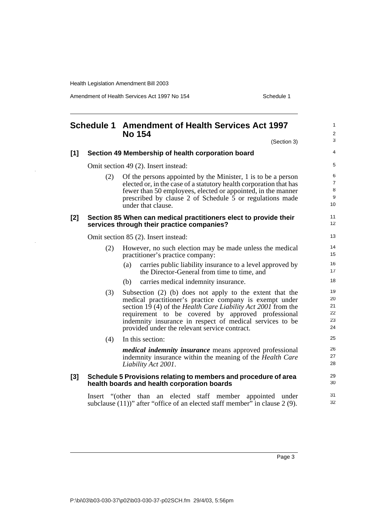Amendment of Health Services Act 1997 No 154 Schedule 1

<span id="page-8-0"></span>

|     |        | Schedule 1 Amendment of Health Services Act 1997<br><b>No 154</b>                                                                                                                                                                                                                                                                                                |                                     |
|-----|--------|------------------------------------------------------------------------------------------------------------------------------------------------------------------------------------------------------------------------------------------------------------------------------------------------------------------------------------------------------------------|-------------------------------------|
|     |        | (Section 3)                                                                                                                                                                                                                                                                                                                                                      | 3                                   |
| [1] |        | Section 49 Membership of health corporation board                                                                                                                                                                                                                                                                                                                | 4                                   |
|     |        | Omit section 49 (2). Insert instead:                                                                                                                                                                                                                                                                                                                             | 5                                   |
|     | (2)    | Of the persons appointed by the Minister, 1 is to be a person<br>elected or, in the case of a statutory health corporation that has<br>fewer than 50 employees, elected or appointed, in the manner<br>prescribed by clause 2 of Schedule 5 or regulations made<br>under that clause.                                                                            | 6<br>$\overline{7}$<br>8<br>9<br>10 |
| [2] |        | Section 85 When can medical practitioners elect to provide their<br>services through their practice companies?                                                                                                                                                                                                                                                   | 11<br>12                            |
|     |        | Omit section 85 (2). Insert instead:                                                                                                                                                                                                                                                                                                                             | 13                                  |
|     | (2)    | However, no such election may be made unless the medical<br>practitioner's practice company:                                                                                                                                                                                                                                                                     | 14<br>15                            |
|     |        | (a)<br>carries public liability insurance to a level approved by<br>the Director-General from time to time, and                                                                                                                                                                                                                                                  | 16<br>17                            |
|     |        | (b)<br>carries medical indemnity insurance.                                                                                                                                                                                                                                                                                                                      | 18                                  |
|     | (3)    | Subsection $(2)$ (b) does not apply to the extent that the<br>medical practitioner's practice company is exempt under<br>section 19 (4) of the <i>Health Care Liability Act 2001</i> from the<br>requirement to be covered by approved professional<br>indemnity insurance in respect of medical services to be<br>provided under the relevant service contract. | 19<br>20<br>21<br>22<br>23<br>24    |
|     | (4)    | In this section:                                                                                                                                                                                                                                                                                                                                                 | 25                                  |
|     |        | <i>medical indemnity insurance</i> means approved professional<br>indemnity insurance within the meaning of the <i>Health Care</i><br>Liability Act 2001.                                                                                                                                                                                                        | 26<br>27<br>28                      |
| [3] |        | Schedule 5 Provisions relating to members and procedure of area<br>health boards and health corporation boards                                                                                                                                                                                                                                                   | 29<br>30                            |
|     | Insert | "(other than an elected staff member appointed under<br>subclause $(11)$ )" after "office of an elected staff member" in clause 2 (9).                                                                                                                                                                                                                           | 31<br>32                            |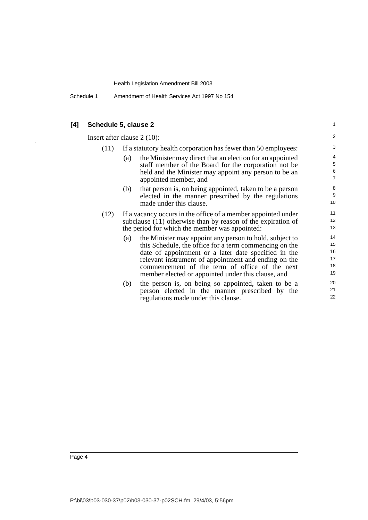Schedule 1 Amendment of Health Services Act 1997 No 154

#### **[4] Schedule 5, clause 2** Insert after clause 2 (10): (11) If a statutory health corporation has fewer than 50 employees: (a) the Minister may direct that an election for an appointed staff member of the Board for the corporation not be held and the Minister may appoint any person to be an appointed member, and (b) that person is, on being appointed, taken to be a person elected in the manner prescribed by the regulations made under this clause. (12) If a vacancy occurs in the office of a member appointed under subclause (11) otherwise than by reason of the expiration of the period for which the member was appointed: (a) the Minister may appoint any person to hold, subject to this Schedule, the office for a term commencing on the date of appointment or a later date specified in the relevant instrument of appointment and ending on the commencement of the term of office of the next member elected or appointed under this clause, and (b) the person is, on being so appointed, taken to be a person elected in the manner prescribed by the regulations made under this clause. 1  $\overline{2}$ 3 4 5 6 7 8 9 10 11 12 13 14 15 16 17 18 19 20 21 22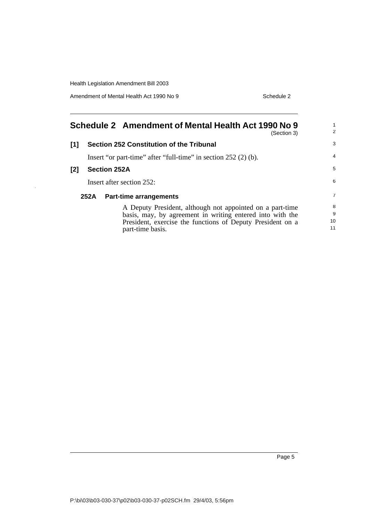Amendment of Mental Health Act 1990 No 9 Schedule 2

<span id="page-10-0"></span>

|     |      | Schedule 2 Amendment of Mental Health Act 1990 No 9<br>(Section 3) | 1<br>2         |
|-----|------|--------------------------------------------------------------------|----------------|
| [1] |      | <b>Section 252 Constitution of the Tribunal</b>                    | 3              |
|     |      | Insert "or part-time" after "full-time" in section $252(2)$ (b).   | $\overline{4}$ |
| [2] |      | <b>Section 252A</b>                                                | 5              |
|     |      | Insert after section 252:                                          | 6              |
|     | 252A | <b>Part-time arrangements</b>                                      | $\overline{7}$ |
|     |      | A Deputy President, although not appointed on a part-time          | 8              |
|     |      | basis, may, by agreement in writing entered into with the          | 9              |
|     |      | President, exercise the functions of Deputy President on a         | 10             |
|     |      | part-time basis.                                                   | 11             |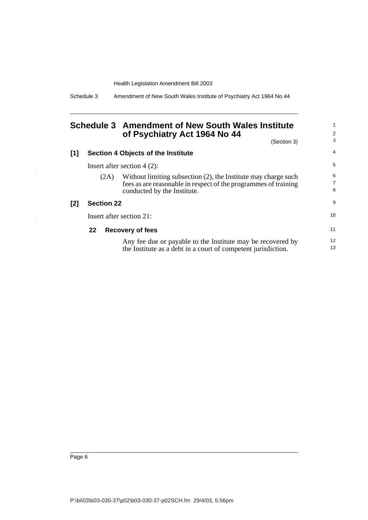Schedule 3 Amendment of New South Wales Institute of Psychiatry Act 1964 No 44

### <span id="page-11-0"></span>**Schedule 3 Amendment of New South Wales Institute of Psychiatry Act 1964 No 44**

(Section 3)

| $[1]$ |                                                                                                                                                                             | Section 4 Objects of the Institute                                                                                           | 4        |  |  |
|-------|-----------------------------------------------------------------------------------------------------------------------------------------------------------------------------|------------------------------------------------------------------------------------------------------------------------------|----------|--|--|
|       | Insert after section $4(2)$ :                                                                                                                                               |                                                                                                                              |          |  |  |
|       | Without limiting subsection $(2)$ , the Institute may charge such<br>(2A)<br>fees as are reasonable in respect of the programmes of training<br>conducted by the Institute. |                                                                                                                              |          |  |  |
| [2]   | <b>Section 22</b>                                                                                                                                                           |                                                                                                                              | 9        |  |  |
|       | Insert after section 21:                                                                                                                                                    |                                                                                                                              | 10       |  |  |
|       | 22                                                                                                                                                                          | <b>Recovery of fees</b>                                                                                                      | 11       |  |  |
|       |                                                                                                                                                                             | Any fee due or payable to the Institute may be recovered by<br>the Institute as a debt in a court of competent jurisdiction. | 12<br>13 |  |  |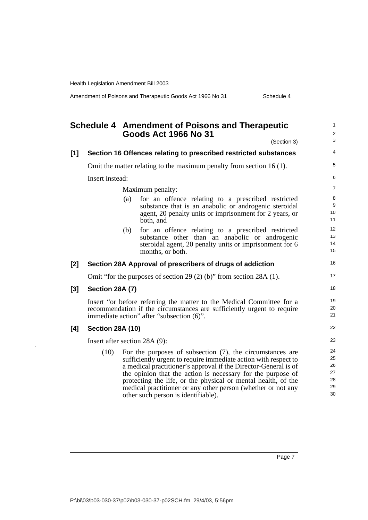Amendment of Poisons and Therapeutic Goods Act 1966 No 31 Schedule 4

#### <span id="page-12-0"></span>**Schedule 4 Amendment of Poisons and Therapeutic Goods Act 1966 No 31** (Section 3) **[1] Section 16 Offences relating to prescribed restricted substances** Omit the matter relating to the maximum penalty from section 16 (1). Insert instead: Maximum penalty: (a) for an offence relating to a prescribed restricted substance that is an anabolic or androgenic steroidal agent, 20 penalty units or imprisonment for 2 years, or both, and (b) for an offence relating to a prescribed restricted substance other than an anabolic or androgenic steroidal agent, 20 penalty units or imprisonment for 6 months, or both. **[2] Section 28A Approval of prescribers of drugs of addiction** Omit "for the purposes of section 29 (2) (b)" from section 28A (1). **[3] Section 28A (7)** Insert "or before referring the matter to the Medical Committee for a recommendation if the circumstances are sufficiently urgent to require immediate action" after "subsection (6)". **[4] Section 28A (10)** Insert after section 28A (9): (10) For the purposes of subsection (7), the circumstances are sufficiently urgent to require immediate action with respect to a medical practitioner's approval if the Director-General is of the opinion that the action is necessary for the purpose of protecting the life, or the physical or mental health, of the medical practitioner or any other person (whether or not any other such person is identifiable). 1  $\mathfrak{p}$ 3 4 5 6 7 8 9 10 11 12 13 14 15 16 17 18 19 20 21 22 23 24 25 26 27 28 29 30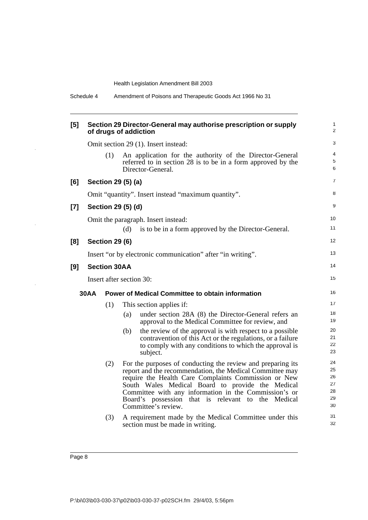| [5]   |             |                       |                          | Section 29 Director-General may authorise prescription or supply<br>of drugs of addiction                                                                                                                                                                                                                                                                                 | 1<br>$\overline{c}$                    |
|-------|-------------|-----------------------|--------------------------|---------------------------------------------------------------------------------------------------------------------------------------------------------------------------------------------------------------------------------------------------------------------------------------------------------------------------------------------------------------------------|----------------------------------------|
|       |             |                       |                          | Omit section 29 (1). Insert instead:                                                                                                                                                                                                                                                                                                                                      | 3                                      |
|       |             | (1)                   |                          | An application for the authority of the Director-General<br>referred to in section 28 is to be in a form approved by the<br>Director-General.                                                                                                                                                                                                                             | $\overline{4}$<br>5<br>6               |
| [6]   |             |                       | Section 29 (5) (a)       |                                                                                                                                                                                                                                                                                                                                                                           | 7                                      |
|       |             |                       |                          | Omit "quantity". Insert instead "maximum quantity".                                                                                                                                                                                                                                                                                                                       | 8                                      |
| $[7]$ |             |                       | Section 29 (5) (d)       |                                                                                                                                                                                                                                                                                                                                                                           | 9                                      |
|       |             |                       |                          | Omit the paragraph. Insert instead:                                                                                                                                                                                                                                                                                                                                       | 10                                     |
|       |             |                       | (d)                      | is to be in a form approved by the Director-General.                                                                                                                                                                                                                                                                                                                      | 11                                     |
| [8]   |             | <b>Section 29 (6)</b> |                          |                                                                                                                                                                                                                                                                                                                                                                           | 12                                     |
|       |             |                       |                          | Insert "or by electronic communication" after "in writing".                                                                                                                                                                                                                                                                                                               | 13                                     |
| [9]   |             | <b>Section 30AA</b>   |                          |                                                                                                                                                                                                                                                                                                                                                                           | 14                                     |
|       |             |                       | Insert after section 30: |                                                                                                                                                                                                                                                                                                                                                                           | 15                                     |
|       | <b>30AA</b> |                       |                          | Power of Medical Committee to obtain information                                                                                                                                                                                                                                                                                                                          | 16                                     |
|       |             | (1)                   |                          | This section applies if:                                                                                                                                                                                                                                                                                                                                                  | 17                                     |
|       |             |                       | (a)                      | under section 28A (8) the Director-General refers an<br>approval to the Medical Committee for review, and                                                                                                                                                                                                                                                                 | 18<br>19                               |
|       |             |                       | (b)                      | the review of the approval is with respect to a possible<br>contravention of this Act or the regulations, or a failure<br>to comply with any conditions to which the approval is<br>subject.                                                                                                                                                                              | 20<br>21<br>22<br>23                   |
|       |             | (2)                   |                          | For the purposes of conducting the review and preparing its<br>report and the recommendation, the Medical Committee may<br>require the Health Care Complaints Commission or New<br>South Wales Medical Board to provide the Medical<br>Committee with any information in the Commission's or<br>Board's possession that is relevant to the Medical<br>Committee's review. | 24<br>25<br>26<br>27<br>28<br>29<br>30 |
|       |             | (3)                   |                          | A requirement made by the Medical Committee under this<br>section must be made in writing.                                                                                                                                                                                                                                                                                | 31<br>32                               |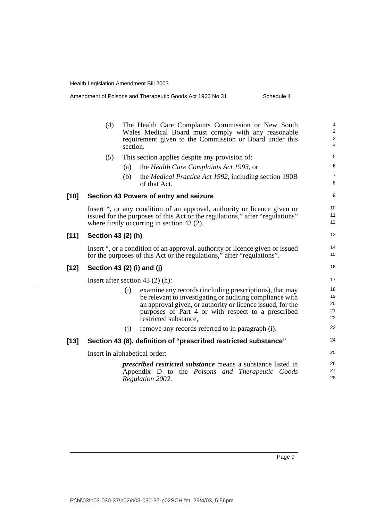$\mathbb{R}^2$ 

i.

|      | (4)                           | section. | The Health Care Complaints Commission or New South<br>Wales Medical Board must comply with any reasonable<br>requirement given to the Commission or Board under this | $\mathbf{1}$<br>$\boldsymbol{2}$<br>3<br>4 |
|------|-------------------------------|----------|----------------------------------------------------------------------------------------------------------------------------------------------------------------------|--------------------------------------------|
|      | (5)                           |          | This section applies despite any provision of:                                                                                                                       | 5                                          |
|      |                               | (a)      | the Health Care Complaints Act 1993, or                                                                                                                              | 6                                          |
|      |                               | (b)      | the <i>Medical Practice Act 1992</i> , including section 190B<br>of that Act.                                                                                        | $\overline{7}$<br>8                        |
| [10] |                               |          | Section 43 Powers of entry and seizure                                                                                                                               | 9                                          |
|      |                               |          | Insert ", or any condition of an approval, authority or licence given or                                                                                             | 10                                         |
|      |                               |          | issued for the purposes of this Act or the regulations," after "regulations"                                                                                         | 11                                         |
|      |                               |          | where firstly occurring in section $43(2)$ .                                                                                                                         | 12                                         |
| [11] | Section 43 (2) (h)            |          |                                                                                                                                                                      | 13                                         |
|      |                               |          | Insert ", or a condition of an approval, authority or licence given or issued                                                                                        | 14                                         |
|      |                               |          | for the purposes of this Act or the regulations," after "regulations".                                                                                               | 15                                         |
| [12] | Section 43 (2) (i) and (j)    |          |                                                                                                                                                                      | 16                                         |
|      |                               |          | Insert after section 43 $(2)$ (h):                                                                                                                                   | 17                                         |
|      |                               | (i)      | examine any records (including prescriptions), that may                                                                                                              | 18                                         |
|      |                               |          | be relevant to investigating or auditing compliance with                                                                                                             | 19                                         |
|      |                               |          | an approval given, or authority or licence issued, for the                                                                                                           | 20                                         |
|      |                               |          | purposes of Part 4 or with respect to a prescribed<br>restricted substance,                                                                                          | 21<br>22                                   |
|      |                               | (i)      | remove any records referred to in paragraph (i).                                                                                                                     | 23                                         |
| [13] |                               |          | Section 43 (8), definition of "prescribed restricted substance"                                                                                                      | 24                                         |
|      | Insert in alphabetical order: |          |                                                                                                                                                                      | 25                                         |
|      |                               |          | <i>prescribed restricted substance</i> means a substance listed in                                                                                                   | 26                                         |
|      |                               |          | Appendix D to the Poisons and Therapeutic Goods                                                                                                                      | 27                                         |
|      |                               |          | Regulation 2002.                                                                                                                                                     | 28                                         |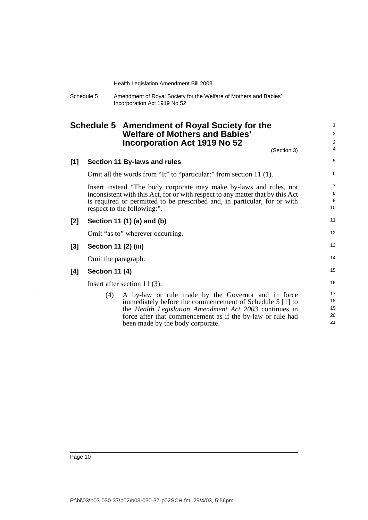Schedule 5 Amendment of Royal Society for the Welfare of Mothers and Babies' Incorporation Act 1919 No 52

#### <span id="page-15-0"></span>**Schedule 5 Amendment of Royal Society for the Welfare of Mothers and Babies' Incorporation Act 1919 No 52**

been made by the body corporate.

(Section 3)

20 21

| $[1]$ | Section 11 By-laws and rules                                                                                                                                                                                                                                     | 5                              |
|-------|------------------------------------------------------------------------------------------------------------------------------------------------------------------------------------------------------------------------------------------------------------------|--------------------------------|
|       | Omit all the words from "It" to "particular:" from section 11 (1).                                                                                                                                                                                               | 6                              |
|       | Insert instead "The body corporate may make by-laws and rules, not<br>inconsistent with this Act, for or with respect to any matter that by this Act<br>is required or permitted to be prescribed and, in particular, for or with<br>respect to the following:". | $\overline{7}$<br>8<br>9<br>10 |
| [2]   | Section 11 (1) (a) and (b)                                                                                                                                                                                                                                       | 11                             |
|       | Omit "as to" wherever occurring.                                                                                                                                                                                                                                 | 12                             |
| [3]   | <b>Section 11 (2) (iii)</b>                                                                                                                                                                                                                                      | 13                             |
|       | Omit the paragraph.                                                                                                                                                                                                                                              | 14                             |
| [4]   | <b>Section 11 (4)</b>                                                                                                                                                                                                                                            | 15                             |
|       | Insert after section 11 $(3)$ :                                                                                                                                                                                                                                  | 16                             |
|       | A by-law or rule made by the Governor and in force<br>(4)<br>immediately before the commencement of Schedule 5 [1] to<br>the Health Legislation Amendment Act 2003 continues in                                                                                  | 17<br>18<br>19                 |

force after that commencement as if the by-law or rule had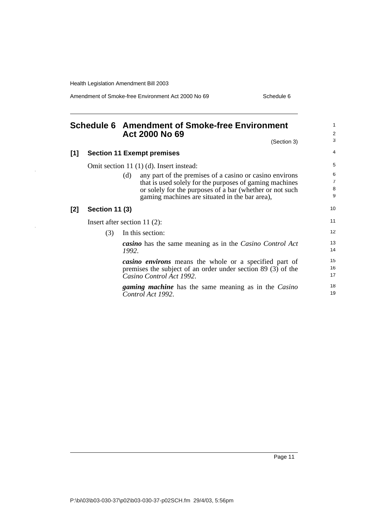Amendment of Smoke-free Environment Act 2000 No 69 Schedule 6

<span id="page-16-0"></span>

|       |                       | <b>Schedule 6 Amendment of Smoke-free Environment</b>                                                                                                                                                                                   | $\mathbf{1}$                  |
|-------|-----------------------|-----------------------------------------------------------------------------------------------------------------------------------------------------------------------------------------------------------------------------------------|-------------------------------|
|       |                       | Act 2000 No 69                                                                                                                                                                                                                          | 2                             |
|       |                       | (Section 3)                                                                                                                                                                                                                             | 3                             |
| $[1]$ |                       | <b>Section 11 Exempt premises</b>                                                                                                                                                                                                       | $\overline{4}$                |
|       |                       | Omit section 11 (1) (d). Insert instead:                                                                                                                                                                                                | 5                             |
|       |                       | any part of the premises of a casino or casino environs<br>(d)<br>that is used solely for the purposes of gaming machines<br>or solely for the purposes of a bar (whether or not such<br>gaming machines are situated in the bar area), | 6<br>$\overline{7}$<br>8<br>9 |
| $[2]$ | <b>Section 11 (3)</b> |                                                                                                                                                                                                                                         | 10                            |
|       |                       | Insert after section 11 $(2)$ :                                                                                                                                                                                                         | 11                            |
|       | (3)                   | In this section:                                                                                                                                                                                                                        | 12                            |
|       |                       | <b>casino</b> has the same meaning as in the Casino Control Act<br>1992.                                                                                                                                                                | 13<br>14                      |
|       |                       | <i>casino environs</i> means the whole or a specified part of<br>premises the subject of an order under section 89 (3) of the<br>Casino Control Act 1992.                                                                               | 15<br>16<br>17                |
|       |                       | <i>gaming machine</i> has the same meaning as in the <i>Casino</i><br>Control Act 1992.                                                                                                                                                 | 18<br>19                      |